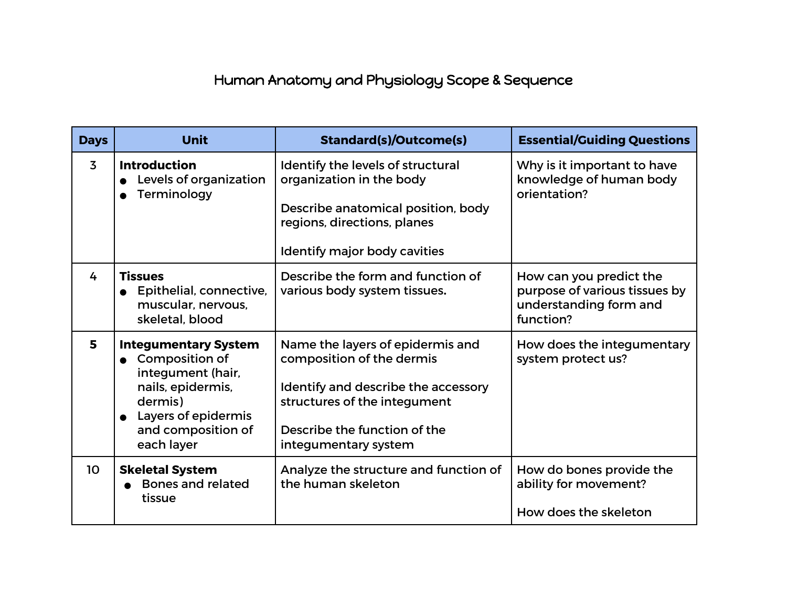## Human Anatomy and Physiology Scope & Sequence

| <b>Days</b>    | <b>Unit</b>                                                                                                                                                     | <b>Standard(s)/Outcome(s)</b>                                                                                                                                                                | <b>Essential/Guiding Questions</b>                                                              |
|----------------|-----------------------------------------------------------------------------------------------------------------------------------------------------------------|----------------------------------------------------------------------------------------------------------------------------------------------------------------------------------------------|-------------------------------------------------------------------------------------------------|
| $\overline{3}$ | <b>Introduction</b><br>Levels of organization<br>Terminology                                                                                                    | Identify the levels of structural<br>organization in the body<br>Describe anatomical position, body<br>regions, directions, planes<br>Identify major body cavities                           | Why is it important to have<br>knowledge of human body<br>orientation?                          |
| 4              | <b>Tissues</b><br>Epithelial, connective,<br>muscular, nervous,<br>skeletal, blood                                                                              | Describe the form and function of<br>various body system tissues.                                                                                                                            | How can you predict the<br>purpose of various tissues by<br>understanding form and<br>function? |
| 5              | <b>Integumentary System</b><br>• Composition of<br>integument (hair,<br>nails, epidermis,<br>dermis)<br>Layers of epidermis<br>and composition of<br>each layer | Name the layers of epidermis and<br>composition of the dermis<br>Identify and describe the accessory<br>structures of the integument<br>Describe the function of the<br>integumentary system | How does the integumentary<br>system protect us?                                                |
| 10             | <b>Skeletal System</b><br><b>Bones and related</b><br>tissue                                                                                                    | Analyze the structure and function of<br>the human skeleton                                                                                                                                  | How do bones provide the<br>ability for movement?<br>How does the skeleton                      |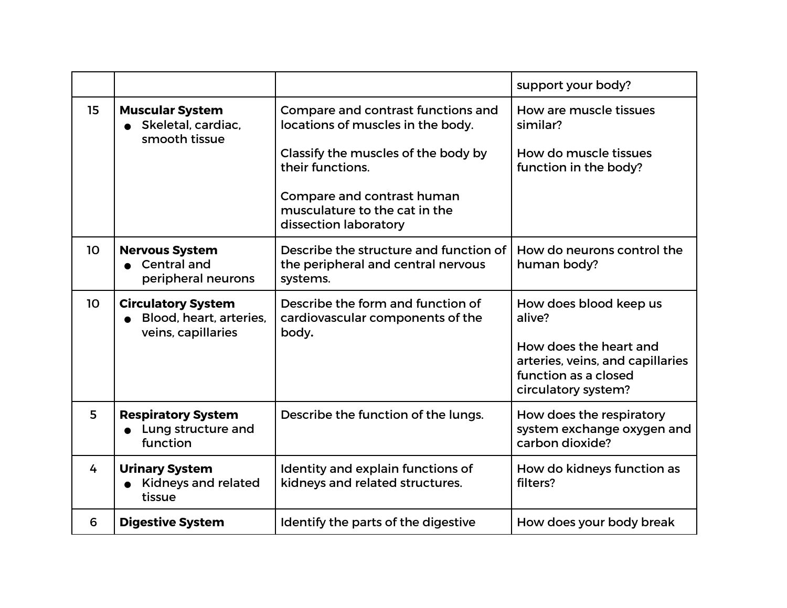|    |                                                                            |                                                                                                                                                                                                                            | support your body?                                                                                                                            |
|----|----------------------------------------------------------------------------|----------------------------------------------------------------------------------------------------------------------------------------------------------------------------------------------------------------------------|-----------------------------------------------------------------------------------------------------------------------------------------------|
| 15 | <b>Muscular System</b><br>· Skeletal, cardiac,<br>smooth tissue            | Compare and contrast functions and<br>locations of muscles in the body.<br>Classify the muscles of the body by<br>their functions.<br>Compare and contrast human<br>musculature to the cat in the<br>dissection laboratory | How are muscle tissues<br>similar?<br>How do muscle tissues<br>function in the body?                                                          |
| 10 | <b>Nervous System</b><br><b>Central and</b><br>peripheral neurons          | Describe the structure and function of<br>the peripheral and central nervous<br>systems.                                                                                                                                   | How do neurons control the<br>human body?                                                                                                     |
| 10 | <b>Circulatory System</b><br>Blood, heart, arteries.<br>veins, capillaries | Describe the form and function of<br>cardiovascular components of the<br>body.                                                                                                                                             | How does blood keep us<br>alive?<br>How does the heart and<br>arteries, veins, and capillaries<br>function as a closed<br>circulatory system? |
| 5  | <b>Respiratory System</b><br>Lung structure and<br>function                | Describe the function of the lungs.                                                                                                                                                                                        | How does the respiratory<br>system exchange oxygen and<br>carbon dioxide?                                                                     |
| 4  | <b>Urinary System</b><br>Kidneys and related<br>tissue                     | Identity and explain functions of<br>kidneys and related structures.                                                                                                                                                       | How do kidneys function as<br>filters?                                                                                                        |
| 6  | <b>Digestive System</b>                                                    | Identify the parts of the digestive                                                                                                                                                                                        | How does your body break                                                                                                                      |